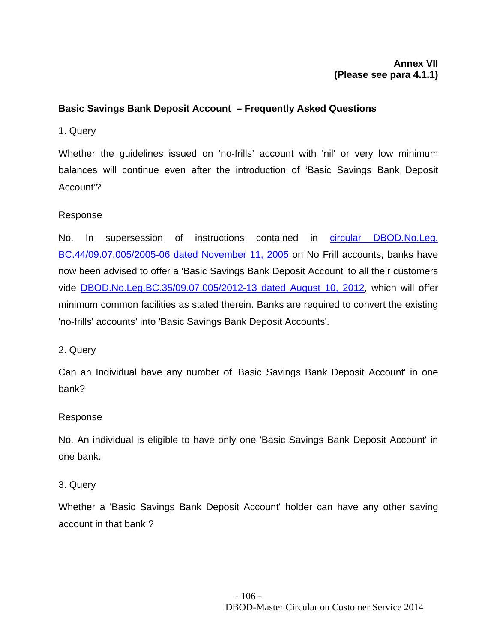## **Annex VII (Please see para 4.1.1)**

# **Basic Savings Bank Deposit Account – Frequently Asked Questions**

1. Query

Whether the guidelines issued on 'no-frills' account with 'nil' or very low minimum balances will continue even after the introduction of 'Basic Savings Bank Deposit Account'?

### Response

No. In supersession of instructions contained in [circular DBOD.No.Leg.](http://www.rbi.org.in/scripts/NotificationUser.aspx?Id=2615&Mode=0)  [BC.44/09.07.005/2005-06 dated November 11, 2005](http://www.rbi.org.in/scripts/NotificationUser.aspx?Id=2615&Mode=0) on No Frill accounts, banks have now been advised to offer a 'Basic Savings Bank Deposit Account' to all their customers vide [DBOD.No.Leg.BC.35/09.07.005/2012-13 dated August 10, 2012](http://www.rbi.org.in/scripts/NotificationUser.aspx?Id=7501&Mode=0), which will offer minimum common facilities as stated therein. Banks are required to convert the existing 'no-frills' accounts' into 'Basic Savings Bank Deposit Accounts'.

## 2. Query

Can an Individual have any number of 'Basic Savings Bank Deposit Account' in one bank?

#### Response

No. An individual is eligible to have only one 'Basic Savings Bank Deposit Account' in one bank.

## 3. Query

Whether a 'Basic Savings Bank Deposit Account' holder can have any other saving account in that bank ?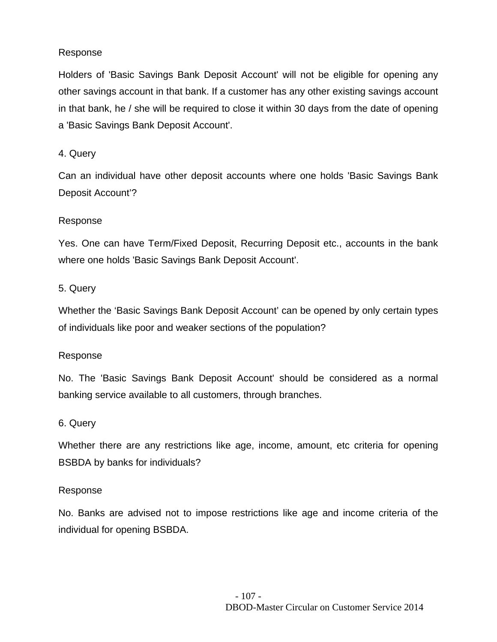Holders of 'Basic Savings Bank Deposit Account' will not be eligible for opening any other savings account in that bank. If a customer has any other existing savings account in that bank, he / she will be required to close it within 30 days from the date of opening a 'Basic Savings Bank Deposit Account'.

## 4. Query

Can an individual have other deposit accounts where one holds 'Basic Savings Bank Deposit Account'?

## Response

Yes. One can have Term/Fixed Deposit, Recurring Deposit etc., accounts in the bank where one holds 'Basic Savings Bank Deposit Account'.

# 5. Query

Whether the 'Basic Savings Bank Deposit Account' can be opened by only certain types of individuals like poor and weaker sections of the population?

## Response

No. The 'Basic Savings Bank Deposit Account' should be considered as a normal banking service available to all customers, through branches.

## 6. Query

Whether there are any restrictions like age, income, amount, etc criteria for opening BSBDA by banks for individuals?

## Response

No. Banks are advised not to impose restrictions like age and income criteria of the individual for opening BSBDA.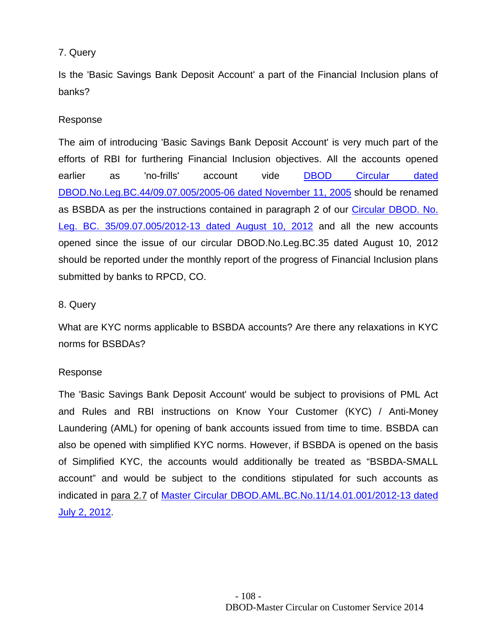# 7. Query

Is the 'Basic Savings Bank Deposit Account' a part of the Financial Inclusion plans of banks?

# Response

The aim of introducing 'Basic Savings Bank Deposit Account' is very much part of the efforts of RBI for furthering Financial Inclusion objectives. All the accounts opened earlier as 'no-frills' account vide [DBOD Circular dated](http://www.rbi.org.in/scripts/NotificationUser.aspx?Id=2615&Mode=0)  [DBOD.No.Leg.BC.44/09.07.005/2005-06 dated November 11, 2005](http://www.rbi.org.in/scripts/NotificationUser.aspx?Id=2615&Mode=0) should be renamed as BSBDA as per the instructions contained in paragraph 2 of our Circular DBOD. No. [Leg. BC. 35/09.07.005/2012-13 dated August 10, 2012](http://www.rbi.org.in/scripts/NotificationUser.aspx?Id=7501&Mode=0) and all the new accounts opened since the issue of our circular DBOD.No.Leg.BC.35 dated August 10, 2012 should be reported under the monthly report of the progress of Financial Inclusion plans submitted by banks to RPCD, CO.

## 8. Query

What are KYC norms applicable to BSBDA accounts? Are there any relaxations in KYC norms for BSBDAs?

## Response

The 'Basic Savings Bank Deposit Account' would be subject to provisions of PML Act and Rules and RBI instructions on Know Your Customer (KYC) / Anti-Money Laundering (AML) for opening of bank accounts issued from time to time. BSBDA can also be opened with simplified KYC norms. However, if BSBDA is opened on the basis of Simplified KYC, the accounts would additionally be treated as "BSBDA-SMALL account" and would be subject to the conditions stipulated for such accounts as indicated in [para 2.7](http://www.rbi.org.in/scripts/NotificationUser.aspx?Id=7361&Mode=0#sma) of [Master Circular DBOD.AML.BC.No.11/14.01.001/2012-13 dated](http://rbi.org.in/scripts/BS_ViewMasCirculardetails.aspx?Id=7361&Mode=0)  [July 2, 2012.](http://rbi.org.in/scripts/BS_ViewMasCirculardetails.aspx?Id=7361&Mode=0)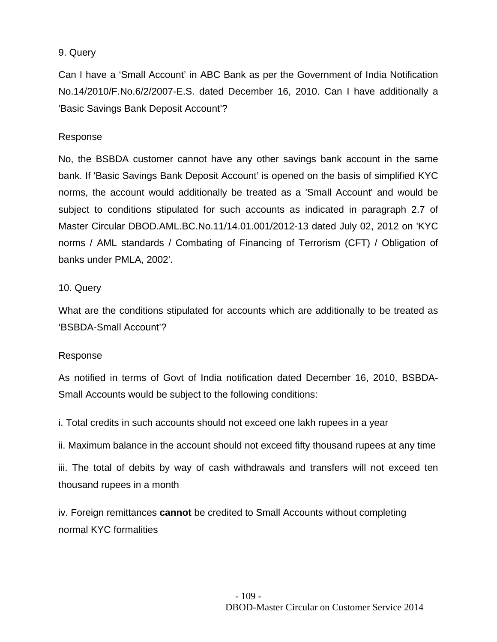# 9. Query

Can I have a 'Small Account' in ABC Bank as per the Government of India Notification No.14/2010/F.No.6/2/2007-E.S. dated December 16, 2010. Can I have additionally a 'Basic Savings Bank Deposit Account'?

# Response

No, the BSBDA customer cannot have any other savings bank account in the same bank. If 'Basic Savings Bank Deposit Account' is opened on the basis of simplified KYC norms, the account would additionally be treated as a 'Small Account' and would be subject to conditions stipulated for such accounts as indicated in paragraph 2.7 of Master Circular DBOD.AML.BC.No.11/14.01.001/2012-13 dated July 02, 2012 on 'KYC norms / AML standards / Combating of Financing of Terrorism (CFT) / Obligation of banks under PMLA, 2002'.

# 10. Query

What are the conditions stipulated for accounts which are additionally to be treated as 'BSBDA-Small Account'?

## Response

As notified in terms of Govt of India notification dated December 16, 2010, BSBDA-Small Accounts would be subject to the following conditions:

i. Total credits in such accounts should not exceed one lakh rupees in a year

ii. Maximum balance in the account should not exceed fifty thousand rupees at any time

iii. The total of debits by way of cash withdrawals and transfers will not exceed ten thousand rupees in a month

iv. Foreign remittances **cannot** be credited to Small Accounts without completing normal KYC formalities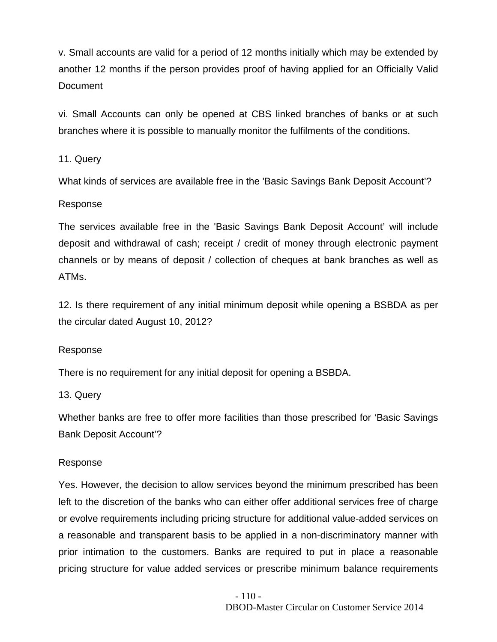v. Small accounts are valid for a period of 12 months initially which may be extended by another 12 months if the person provides proof of having applied for an Officially Valid **Document** 

vi. Small Accounts can only be opened at CBS linked branches of banks or at such branches where it is possible to manually monitor the fulfilments of the conditions.

11. Query

What kinds of services are available free in the 'Basic Savings Bank Deposit Account'?

# Response

The services available free in the 'Basic Savings Bank Deposit Account' will include deposit and withdrawal of cash; receipt / credit of money through electronic payment channels or by means of deposit / collection of cheques at bank branches as well as ATMs.

12. Is there requirement of any initial minimum deposit while opening a BSBDA as per the circular dated August 10, 2012?

Response

There is no requirement for any initial deposit for opening a BSBDA.

13. Query

Whether banks are free to offer more facilities than those prescribed for 'Basic Savings Bank Deposit Account'?

# Response

Yes. However, the decision to allow services beyond the minimum prescribed has been left to the discretion of the banks who can either offer additional services free of charge or evolve requirements including pricing structure for additional value-added services on a reasonable and transparent basis to be applied in a non-discriminatory manner with prior intimation to the customers. Banks are required to put in place a reasonable pricing structure for value added services or prescribe minimum balance requirements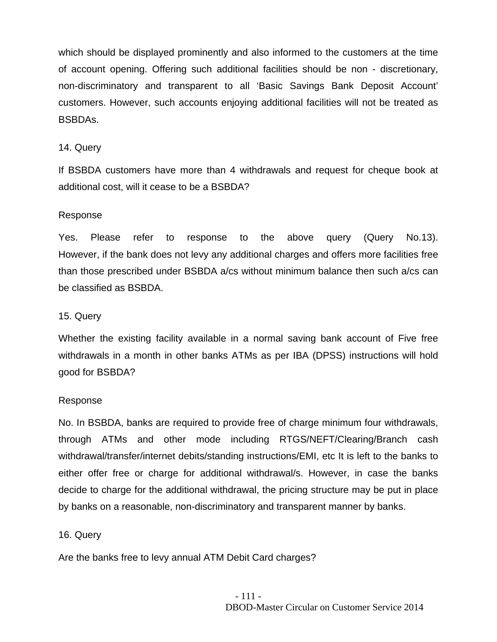which should be displayed prominently and also informed to the customers at the time of account opening. Offering such additional facilities should be non - discretionary, non-discriminatory and transparent to all 'Basic Savings Bank Deposit Account' customers. However, such accounts enjoying additional facilities will not be treated as BSBDAs.

## 14. Query

If BSBDA customers have more than 4 withdrawals and request for cheque book at additional cost, will it cease to be a BSBDA?

### Response

Yes. Please refer to response to the above query (Query No.13). However, if the bank does not levy any additional charges and offers more facilities free than those prescribed under BSBDA a/cs without minimum balance then such a/cs can be classified as BSBDA.

## 15. Query

Whether the existing facility available in a normal saving bank account of Five free withdrawals in a month in other banks ATMs as per IBA (DPSS) instructions will hold good for BSBDA?

#### Response

No. In BSBDA, banks are required to provide free of charge minimum four withdrawals, through ATMs and other mode including RTGS/NEFT/Clearing/Branch cash withdrawal/transfer/internet debits/standing instructions/EMI, etc It is left to the banks to either offer free or charge for additional withdrawal/s. However, in case the banks decide to charge for the additional withdrawal, the pricing structure may be put in place by banks on a reasonable, non-discriminatory and transparent manner by banks.

## 16. Query

Are the banks free to levy annual ATM Debit Card charges?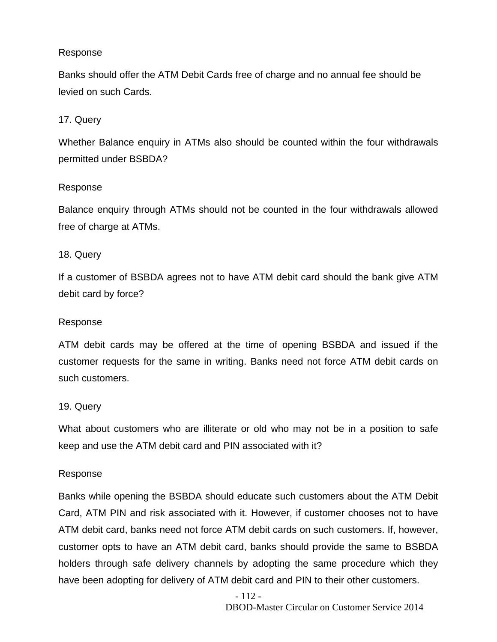Banks should offer the ATM Debit Cards free of charge and no annual fee should be levied on such Cards.

# 17. Query

Whether Balance enquiry in ATMs also should be counted within the four withdrawals permitted under BSBDA?

## Response

Balance enquiry through ATMs should not be counted in the four withdrawals allowed free of charge at ATMs.

### 18. Query

If a customer of BSBDA agrees not to have ATM debit card should the bank give ATM debit card by force?

#### Response

ATM debit cards may be offered at the time of opening BSBDA and issued if the customer requests for the same in writing. Banks need not force ATM debit cards on such customers.

## 19. Query

What about customers who are illiterate or old who may not be in a position to safe keep and use the ATM debit card and PIN associated with it?

#### Response

Banks while opening the BSBDA should educate such customers about the ATM Debit Card, ATM PIN and risk associated with it. However, if customer chooses not to have ATM debit card, banks need not force ATM debit cards on such customers. If, however, customer opts to have an ATM debit card, banks should provide the same to BSBDA holders through safe delivery channels by adopting the same procedure which they have been adopting for delivery of ATM debit card and PIN to their other customers.

- 112 -

DBOD-Master Circular on Customer Service 2014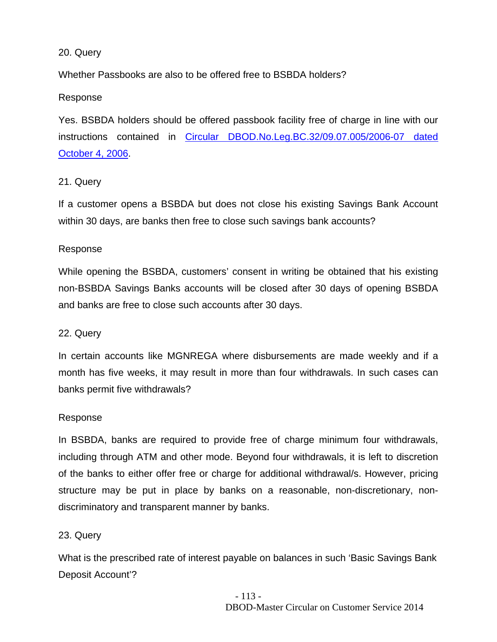## 20. Query

Whether Passbooks are also to be offered free to BSBDA holders?

### Response

Yes. BSBDA holders should be offered passbook facility free of charge in line with our instructions contained in [Circular DBOD.No.Leg.BC.32/09.07.005/2006-07 dated](http://www.rbi.org.in/scripts/NotificationUser.aspx?Id=3106&Mode=0)  [October 4, 2006.](http://www.rbi.org.in/scripts/NotificationUser.aspx?Id=3106&Mode=0)

## 21. Query

If a customer opens a BSBDA but does not close his existing Savings Bank Account within 30 days, are banks then free to close such savings bank accounts?

### Response

While opening the BSBDA, customers' consent in writing be obtained that his existing non-BSBDA Savings Banks accounts will be closed after 30 days of opening BSBDA and banks are free to close such accounts after 30 days.

#### 22. Query

In certain accounts like MGNREGA where disbursements are made weekly and if a month has five weeks, it may result in more than four withdrawals. In such cases can banks permit five withdrawals?

#### Response

In BSBDA, banks are required to provide free of charge minimum four withdrawals, including through ATM and other mode. Beyond four withdrawals, it is left to discretion of the banks to either offer free or charge for additional withdrawal/s. However, pricing structure may be put in place by banks on a reasonable, non-discretionary, nondiscriminatory and transparent manner by banks.

#### 23. Query

What is the prescribed rate of interest payable on balances in such 'Basic Savings Bank Deposit Account'?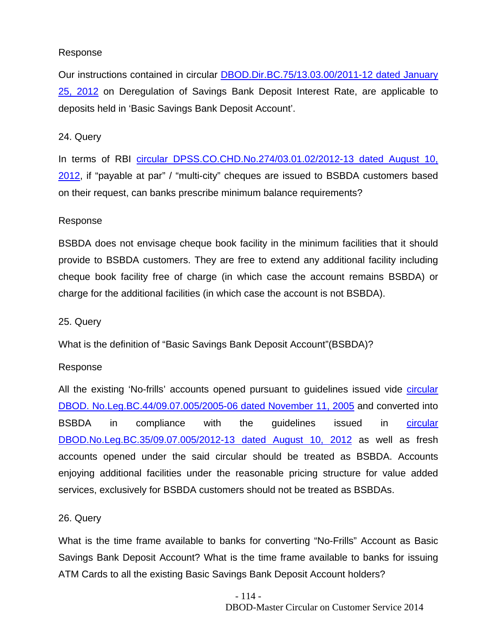Our instructions contained in circular [DBOD.Dir.BC.75/13.03.00/2011-12 dated January](http://www.rbi.org.in/scripts/NotificationUser.aspx?Id=6965&Mode=0)  [25, 2012](http://www.rbi.org.in/scripts/NotificationUser.aspx?Id=6965&Mode=0) on Deregulation of Savings Bank Deposit Interest Rate, are applicable to deposits held in 'Basic Savings Bank Deposit Account'.

## 24. Query

In terms of RBI circular DPSS.CO.CHD.No.274/03.01.02/2012-13 dated August 10, [2012,](http://www.rbi.org.in/scripts/NotificationUser.aspx?Id=7500&Mode=0) if "payable at par" / "multi-city" cheques are issued to BSBDA customers based on their request, can banks prescribe minimum balance requirements?

### Response

BSBDA does not envisage cheque book facility in the minimum facilities that it should provide to BSBDA customers. They are free to extend any additional facility including cheque book facility free of charge (in which case the account remains BSBDA) or charge for the additional facilities (in which case the account is not BSBDA).

#### 25. Query

What is the definition of "Basic Savings Bank Deposit Account"(BSBDA)?

#### Response

All the existing 'No-frills' accounts opened pursuant to guidelines issued vide [circular](http://www.rbi.org.in/scripts/NotificationUser.aspx?Id=2615&Mode=0)  [DBOD. No.Leg.BC.44/09.07.005/2005-06 dated November 11, 2005](http://www.rbi.org.in/scripts/NotificationUser.aspx?Id=2615&Mode=0) and converted into BSBDA in compliance with the guidelines issued in [circular](http://www.rbi.org.in/scripts/NotificationUser.aspx?Id=7501&Mode=0)  [DBOD.No.Leg.BC.35/09.07.005/2012-13 dated August 10, 2012](http://www.rbi.org.in/scripts/NotificationUser.aspx?Id=7501&Mode=0) as well as fresh accounts opened under the said circular should be treated as BSBDA. Accounts enjoying additional facilities under the reasonable pricing structure for value added services, exclusively for BSBDA customers should not be treated as BSBDAs.

#### 26. Query

What is the time frame available to banks for converting "No-Frills" Account as Basic Savings Bank Deposit Account? What is the time frame available to banks for issuing ATM Cards to all the existing Basic Savings Bank Deposit Account holders?

> DBOD-Master Circular on Customer Service 2014 - 114 -